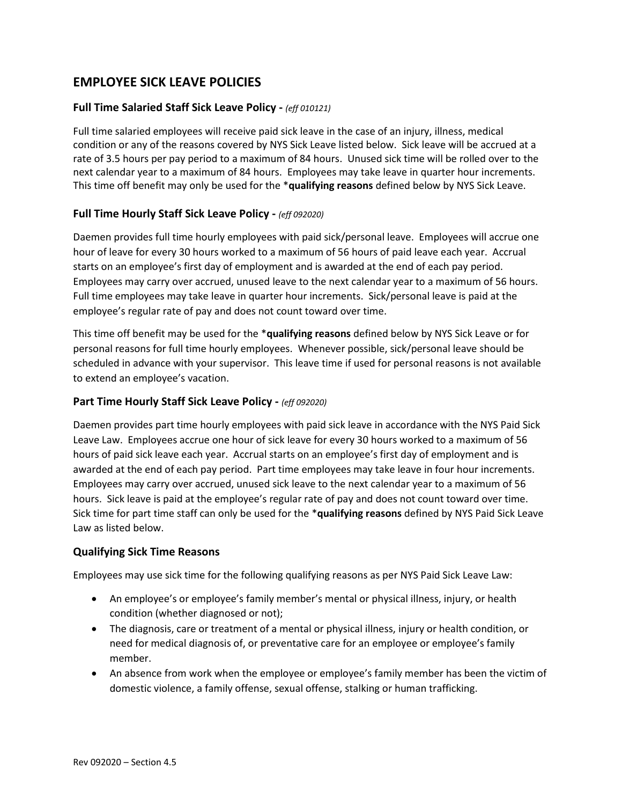# **EMPLOYEE SICK LEAVE POLICIES**

# **Full Time Salaried Staff Sick Leave Policy -** *(eff 010121)*

Full time salaried employees will receive paid sick leave in the case of an injury, illness, medical condition or any of the reasons covered by NYS Sick Leave listed below. Sick leave will be accrued at a rate of 3.5 hours per pay period to a maximum of 84 hours. Unused sick time will be rolled over to the next calendar year to a maximum of 84 hours. Employees may take leave in quarter hour increments. This time off benefit may only be used for the \***qualifying reasons** defined below by NYS Sick Leave.

# **Full Time Hourly Staff Sick Leave Policy -** *(eff 092020)*

Daemen provides full time hourly employees with paid sick/personal leave. Employees will accrue one hour of leave for every 30 hours worked to a maximum of 56 hours of paid leave each year. Accrual starts on an employee's first day of employment and is awarded at the end of each pay period. Employees may carry over accrued, unused leave to the next calendar year to a maximum of 56 hours. Full time employees may take leave in quarter hour increments. Sick/personal leave is paid at the employee's regular rate of pay and does not count toward over time.

This time off benefit may be used for the \***qualifying reasons** defined below by NYS Sick Leave or for personal reasons for full time hourly employees. Whenever possible, sick/personal leave should be scheduled in advance with your supervisor. This leave time if used for personal reasons is not available to extend an employee's vacation.

## **Part Time Hourly Staff Sick Leave Policy -** *(eff 092020)*

Daemen provides part time hourly employees with paid sick leave in accordance with the NYS Paid Sick Leave Law. Employees accrue one hour of sick leave for every 30 hours worked to a maximum of 56 hours of paid sick leave each year. Accrual starts on an employee's first day of employment and is awarded at the end of each pay period. Part time employees may take leave in four hour increments. Employees may carry over accrued, unused sick leave to the next calendar year to a maximum of 56 hours. Sick leave is paid at the employee's regular rate of pay and does not count toward over time. Sick time for part time staff can only be used for the \***qualifying reasons** defined by NYS Paid Sick Leave Law as listed below.

## **Qualifying Sick Time Reasons**

Employees may use sick time for the following qualifying reasons as per NYS Paid Sick Leave Law:

- An employee's or employee's family member's mental or physical illness, injury, or health condition (whether diagnosed or not);
- The diagnosis, care or treatment of a mental or physical illness, injury or health condition, or need for medical diagnosis of, or preventative care for an employee or employee's family member.
- An absence from work when the employee or employee's family member has been the victim of domestic violence, a family offense, sexual offense, stalking or human trafficking.